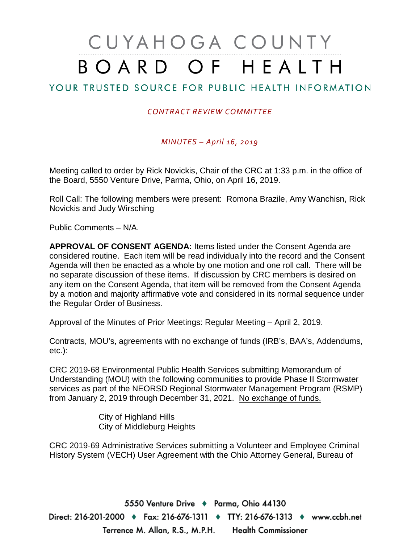# CUYAHOGA COUNTY BOARD OF HEALTH

## YOUR TRUSTED SOURCE FOR PUBLIC HEALTH INFORMATION

## *CONTRACT REVIEW COMMITTEE*

*MINUTES – April 16, 2019*

Meeting called to order by Rick Novickis, Chair of the CRC at 1:33 p.m. in the office of the Board, 5550 Venture Drive, Parma, Ohio, on April 16, 2019.

Roll Call: The following members were present: Romona Brazile, Amy Wanchisn, Rick Novickis and Judy Wirsching

Public Comments – N/A.

**APPROVAL OF CONSENT AGENDA:** Items listed under the Consent Agenda are considered routine. Each item will be read individually into the record and the Consent Agenda will then be enacted as a whole by one motion and one roll call. There will be no separate discussion of these items. If discussion by CRC members is desired on any item on the Consent Agenda, that item will be removed from the Consent Agenda by a motion and majority affirmative vote and considered in its normal sequence under the Regular Order of Business.

Approval of the Minutes of Prior Meetings: Regular Meeting – April 2, 2019.

Contracts, MOU's, agreements with no exchange of funds (IRB's, BAA's, Addendums, etc.):

CRC 2019-68 Environmental Public Health Services submitting Memorandum of Understanding (MOU) with the following communities to provide Phase II Stormwater services as part of the NEORSD Regional Stormwater Management Program (RSMP) from January 2, 2019 through December 31, 2021. No exchange of funds.

> City of Highland Hills City of Middleburg Heights

CRC 2019-69 Administrative Services submitting a Volunteer and Employee Criminal History System (VECH) User Agreement with the Ohio Attorney General, Bureau of

5550 Venture Drive + Parma, Ohio 44130 Direct: 216-201-2000 ♦ Fax: 216-676-1311 ♦ TTY: 216-676-1313 ♦ www.ccbh.net Terrence M. Allan, R.S., M.P.H. Health Commissioner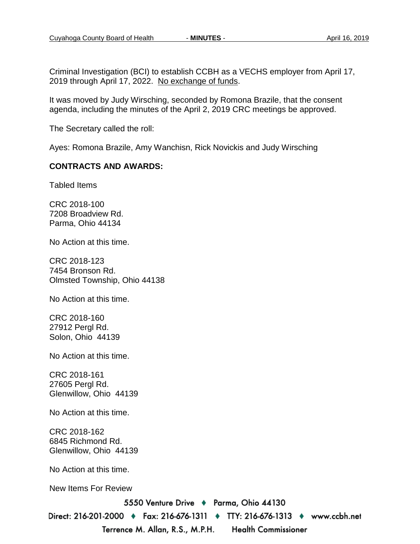Criminal Investigation (BCI) to establish CCBH as a VECHS employer from April 17, 2019 through April 17, 2022. No exchange of funds.

It was moved by Judy Wirsching, seconded by Romona Brazile, that the consent agenda, including the minutes of the April 2, 2019 CRC meetings be approved.

The Secretary called the roll:

Ayes: Romona Brazile, Amy Wanchisn, Rick Novickis and Judy Wirsching

#### **CONTRACTS AND AWARDS:**

Tabled Items

CRC 2018-100 7208 Broadview Rd. Parma, Ohio 44134

No Action at this time.

CRC 2018-123 7454 Bronson Rd. Olmsted Township, Ohio 44138

No Action at this time.

CRC 2018-160 27912 Pergl Rd. Solon, Ohio 44139

No Action at this time.

CRC 2018-161 27605 Pergl Rd. Glenwillow, Ohio 44139

No Action at this time.

CRC 2018-162 6845 Richmond Rd. Glenwillow, Ohio 44139

No Action at this time.

New Items For Review

5550 Venture Drive + Parma, Ohio 44130

Direct: 216-201-2000 ♦ Fax: 216-676-1311 ♦ TTY: 216-676-1313 ♦ www.ccbh.net Terrence M. Allan, R.S., M.P.H. **Health Commissioner**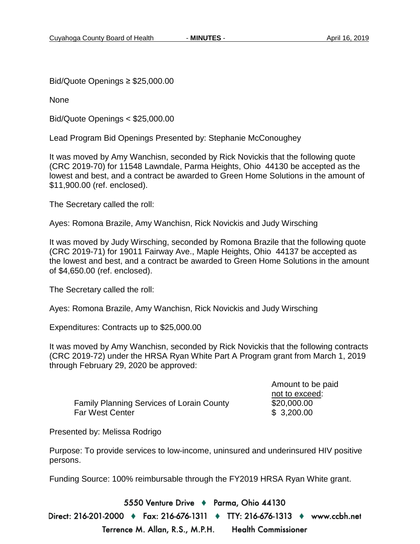Bid/Quote Openings ≥ \$25,000.00

None

Bid/Quote Openings < \$25,000.00

Lead Program Bid Openings Presented by: Stephanie McConoughey

It was moved by Amy Wanchisn, seconded by Rick Novickis that the following quote (CRC 2019-70) for 11548 Lawndale, Parma Heights, Ohio 44130 be accepted as the lowest and best, and a contract be awarded to Green Home Solutions in the amount of \$11,900.00 (ref. enclosed).

The Secretary called the roll:

Ayes: Romona Brazile, Amy Wanchisn, Rick Novickis and Judy Wirsching

It was moved by Judy Wirsching, seconded by Romona Brazile that the following quote (CRC 2019-71) for 19011 Fairway Ave., Maple Heights, Ohio 44137 be accepted as the lowest and best, and a contract be awarded to Green Home Solutions in the amount of \$4,650.00 (ref. enclosed).

The Secretary called the roll:

Ayes: Romona Brazile, Amy Wanchisn, Rick Novickis and Judy Wirsching

Expenditures: Contracts up to \$25,000.00

It was moved by Amy Wanchisn, seconded by Rick Novickis that the following contracts (CRC 2019-72) under the HRSA Ryan White Part A Program grant from March 1, 2019 through February 29, 2020 be approved:

Family Planning Services of Lorain County \$20,000.00 Far West Center **\$ 3,200.00** 

Amount to be paid not to exceed:

Presented by: Melissa Rodrigo

Purpose: To provide services to low-income, uninsured and underinsured HIV positive persons.

Funding Source: 100% reimbursable through the FY2019 HRSA Ryan White grant.

5550 Venture Drive + Parma, Ohio 44130

Direct: 216-201-2000 ♦ Fax: 216-676-1311 ♦ TTY: 216-676-1313 ♦ www.ccbh.net Terrence M. Allan, R.S., M.P.H. **Health Commissioner**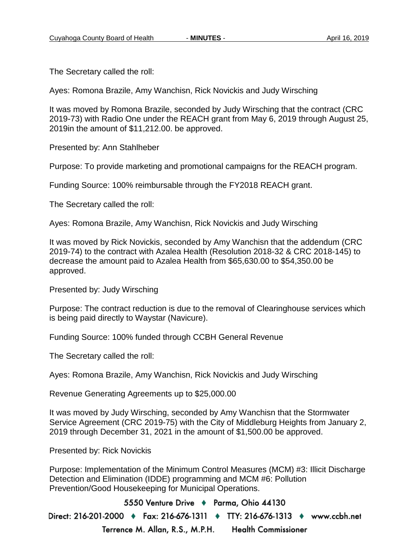The Secretary called the roll:

Ayes: Romona Brazile, Amy Wanchisn, Rick Novickis and Judy Wirsching

It was moved by Romona Brazile, seconded by Judy Wirsching that the contract (CRC 2019-73) with Radio One under the REACH grant from May 6, 2019 through August 25, 2019in the amount of \$11,212.00. be approved.

Presented by: Ann Stahlheber

Purpose: To provide marketing and promotional campaigns for the REACH program.

Funding Source: 100% reimbursable through the FY2018 REACH grant.

The Secretary called the roll:

Ayes: Romona Brazile, Amy Wanchisn, Rick Novickis and Judy Wirsching

It was moved by Rick Novickis, seconded by Amy Wanchisn that the addendum (CRC 2019-74) to the contract with Azalea Health (Resolution 2018-32 & CRC 2018-145) to decrease the amount paid to Azalea Health from \$65,630.00 to \$54,350.00 be approved.

Presented by: Judy Wirsching

Purpose: The contract reduction is due to the removal of Clearinghouse services which is being paid directly to Waystar (Navicure).

Funding Source: 100% funded through CCBH General Revenue

The Secretary called the roll:

Ayes: Romona Brazile, Amy Wanchisn, Rick Novickis and Judy Wirsching

Revenue Generating Agreements up to \$25,000.00

It was moved by Judy Wirsching, seconded by Amy Wanchisn that the Stormwater Service Agreement (CRC 2019-75) with the City of Middleburg Heights from January 2, 2019 through December 31, 2021 in the amount of \$1,500.00 be approved.

Presented by: Rick Novickis

Purpose: Implementation of the Minimum Control Measures (MCM) #3: Illicit Discharge Detection and Elimination (IDDE) programming and MCM #6: Pollution Prevention/Good Housekeeping for Municipal Operations.

5550 Venture Drive + Parma, Ohio 44130 Direct: 216-201-2000 ♦ Fax: 216-676-1311 ♦ TTY: 216-676-1313 ♦ www.ccbh.net Terrence M. Allan, R.S., M.P.H. **Health Commissioner**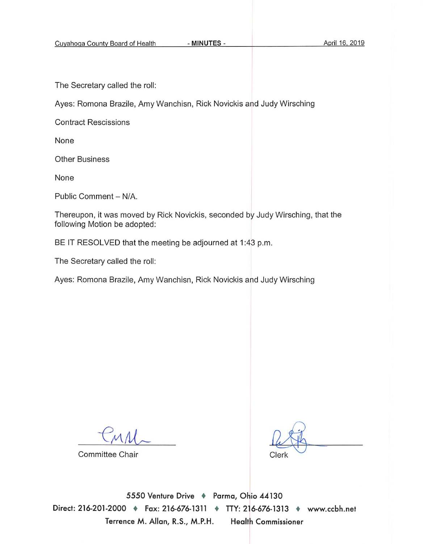The Secretary called the roll:

Ayes: Romona Brazile, Amy Wanchisn, Rick Novickis and Judy Wirsching

**Contract Rescissions** 

None

**Other Business** 

None

Public Comment - N/A.

Thereupon, it was moved by Rick Novickis, seconded by Judy Wirsching, that the following Motion be adopted:

BE IT RESOLVED that the meeting be adjourned at 1:43 p.m.

The Secretary called the roll:

Ayes: Romona Brazile, Amy Wanchisn, Rick Novickis and Judy Wirsching

Committee Chair

Clerk

5550 Venture Drive + Parma, Ohio 44130 Direct: 216-201-2000 • Fax: 216-676-1311 • TTY: 216-676-1313 • www.ccbh.net Terrence M. Allan, R.S., M.P.H. **Health Commissioner**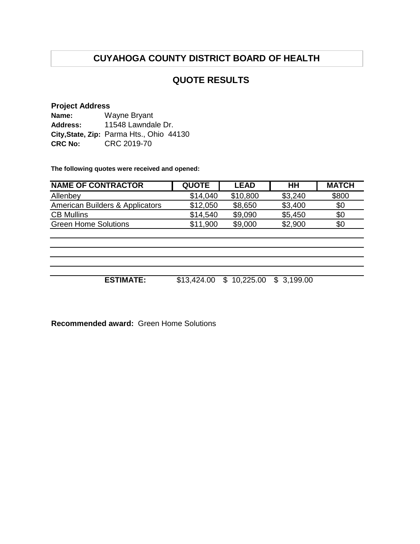# **CUYAHOGA COUNTY DISTRICT BOARD OF HEALTH**

## **QUOTE RESULTS**

### **Project Address**

| Name:          | Wayne Bryant                             |  |  |  |
|----------------|------------------------------------------|--|--|--|
| Address:       | 11548 Lawndale Dr.                       |  |  |  |
|                | City, State, Zip: Parma Hts., Ohio 44130 |  |  |  |
| <b>CRC No:</b> | CRC 2019-70                              |  |  |  |

**The following quotes were received and opened:**

| <b>NAME OF CONTRACTOR</b>       | <b>QUOTE</b> | <b>LEAD</b> | HH      | <b>MATCH</b> |
|---------------------------------|--------------|-------------|---------|--------------|
| Allenbey                        | \$14,040     | \$10,800    | \$3,240 | \$800        |
| American Builders & Applicators | \$12,050     | \$8,650     | \$3,400 | \$0          |
| <b>CB Mullins</b>               | \$14,540     | \$9,090     | \$5,450 | \$0          |
| <b>Green Home Solutions</b>     | \$11,900     | \$9,000     | \$2,900 | \$0          |
|                                 |              |             |         |              |

**ESTIMATE:** \$13,424.00 \$ 10,225.00 \$ 3,199.00

**Recommended award:** Green Home Solutions